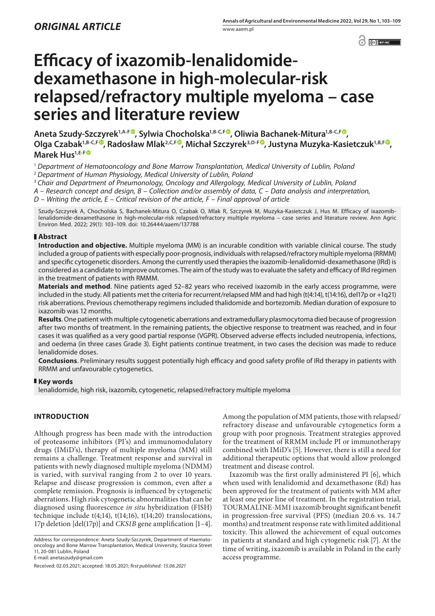$\odot$   $\odot$  BY-NC

# **Efficacy of ixazomib-lenalidomidedexamethasone in high-molecular-risk relapsed/refractory multiple myeloma – case series and literature review**

Aneta Szudy-Szczyrek<sup>1,A-[F](htps://orcid.org/0000-0002-5001-9258)®</sup>, Sylwia Chocholska<sup>1,B-C,F®</sup>, Oliwia Bachanek-Mitura<sup>1,B-C,F®</sup>, **Olga Czabak1,B-C,F , Radosław Mlak2,C,F [,](https://orcid.org/0000-0001-7399-8340) Michał Szczyrek3,D-F , Justyna Muzyka-Kasietczuk1,B,F , Marek Hus1,E-[F](https://orcid.org/0000-0002-9036-6625)**

<sup>1</sup> *Department of Hematooncology and Bone Marrow Transplantation, Medical University of Lublin, Poland*

<sup>2</sup> *Department of Human Physiology, Medical University of Lublin, Poland*

<sup>3</sup> *Chair and Department of Pneumonology, Oncology and Allergology, Medical University of Lublin, Poland*

*A – Research concept and design, B – Collection and/or assembly of data, C – Data analysis and interpretation,* 

*D – Writing the article, E – Critical revision of the article, F – Final approval of article*

Szudy-Szczyrek A, Chocholska S, Bachanek-Mitura O, Czabak O, Mlak R, Szczyrek M, Muzyka-Kasietczuk J, Hus M. Efficacy of ixazomiblenalidomide-dexamethasone in high-molecular-risk relapsed/refractory multiple myeloma – case series and literature review. Ann Agric Environ Med. 2022; 29(1): 103–109. doi: 10.26444/aaem/137788

## **Abstract**

**Introduction and objective.** Multiple myeloma (MM) is an incurable condition with variable clinical course. The study included a group of patients with especially poor-prognosis, individuals with relapsed/refractory multiple myeloma (RRMM) and specific cytogenetic disorders. Among the currently used therapies the ixazomib-lenalidomid-dexamethasone (IRd) is considered as a candidate to improve outcomes. The aim of the study was to evaluate the safety and efficacy of IRd regimen in the treatment of patients with RMMM.

**Materials and method**. Nine patients aged 52–82 years who received ixazomib in the early access programme, were included in the study. All patients met the criteria for recurrent/relapsed MM and had high (t(4:14), t(14:16), del17p or +1q21) risk aberrations. Previous chemotherapy regimens included thalidomide and bortezomib. Median duration of exposure to ixazomib was 12 months.

**Results**. One patient with multiple cytogenetic aberrations and extramedullary plasmocytoma died because of progression after two months of treatment. In the remaining patients, the objective response to treatment was reached, and in four cases it was qualified as a very good partial response (VGPR). Observed adverse effects included neutropenia, infections, and oedema (in three cases Grade 3). Eight patients continue treatment, in two cases the decision was made to reduce lenalidomide doses.

**Conclusions**. Preliminary results suggest potentially high efficacy and good safety profile of IRd therapy in patients with RRMM and unfavourable cytogenetics.

#### **Key words**

lenalidomide, high risk, ixazomib, cytogenetic, relapsed/refractory multiple myeloma

## **INTRODUCTION**

Although progress has been made with the introduction of proteasome inhibitors (PI's) and immunomodulatory drugs (IMiD's), therapy of multiple myeloma (MM) still remains a challenge. Treatment response and survival in patients with newly diagnosed multiple myeloma (NDMM) is varied, with survival ranging from 2 to over 10 years. Relapse and disease progression is common, even after a complete remission. Prognosis is influenced by cytogenetic aberrations. High risk cytogenetic abnormalities that can be diagnosed using fluorescence *in situ* hybridization (FISH) technique include t(4;14), t(14;16), t(14;20) translocations, 17p deletion [del(17p)] and *CKS1B* gene amplification [1–4].

Address for correspondence: Aneta Szudy-Szczyrek, Department of Haematooncology and Bone Marrow Transplantation, Medical University, Staszica Street 11, 20-081 Lublin, Poland

E-mail: anetaszudy@gmail.com

Received: 02.03.2021; accepted: 18.05.2021; *first published: 15.06.2021*

Among the population of MM patients, those with relapsed/ refractory disease and unfavourable cytogenetics form a group with poor prognosis. Treatment strategies approved for the treatment of RRMM include PI or immunotherapy combined with IMiD's [5]. However, there is still a need for additional therapeutic options that would allow prolonged treatment and disease control.

Ixazomib was the first orally administered PI [6], which when used with lenalidomid and dexamethasone (Rd) has been approved for the treatment of patients with MM after at least one prior line of treatment. In the registration trial, TOURMALINE-MM1 ixazomib brought significant benefit in progression-free survival (PFS) (median 20.6 vs. 14.7 months) and treatment response rate with limited additional toxicity. This allowed the achievement of equal outcomes in patients at standard and high cytogenetic risk [7]. At the time of writing, ixazomib is available in Poland in the early access programme.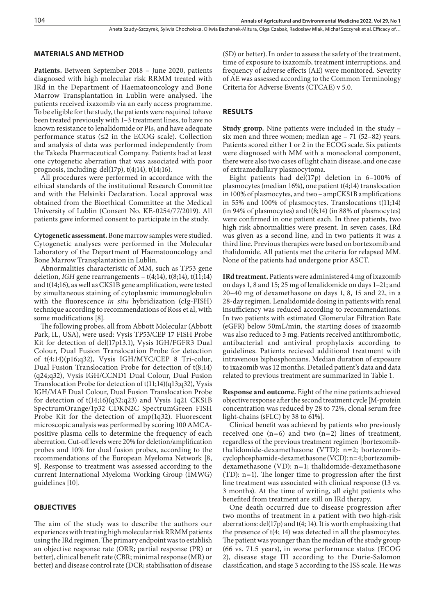## Aneta Szudy-Szczyrek, Sylwia Chocholska, Oliwia Bachanek-Mitura, Olga Czabak, Radosław Mlak, Michał Szczyrek et al. Efficacy of…

### **MATERIALS AND METHOD**

**Patients.** Between September 2018 – June 2020, patients diagnosed with high molecular risk RRMM treated with IRd in the Department of Haematooncology and Bone Marrow Transplantation in Lublin were analysed. The patients received ixazomib via an early access programme. To be eligible for the study, the patients were required tohave been treated previously with 1–3 treatment lines, to have no known resistance to lenalidomide or PIs, and have adequate performance status  $(\leq 2$  in the ECOG scale). Collection and analysis of data was performed independently from the Takeda Pharmaceutical Company. Patients had at least one cytogenetic aberration that was associated with poor prognosis, including:  $del(17p)$ ,  $t(4;14)$ ,  $t(14;16)$ .

All procedures were performed in accordance with the ethical standards of the institutional Research Committee and with the Helsinki Declaration. Local approval was obtained from the Bioethical Committee at the Medical University of Lublin (Consent No. KE-0254/77/2019). All patients gave informed consent to participate in the study.

**Cytogenetic assessment.** Bone marrow samples were studied. Cytogenetic analyses were performed in the Molecular Laboratory of the Department of Haematooncology and Bone Marrow Transplantation in Lublin.

Abnormalities characteristic of MM, such as TP53 gene deletion, *IGH* gene rearrangements  $- t(4;14)$ ,  $t(8;14)$ ,  $t(11;14)$ and t(14;16), as well as CKS1B gene amplification, were tested by simultaneous staining of cytoplasmic immunoglobulin with the fluorescence *in situ* hybridization (cIg-FISH) technique according to recommendations of Ross et al, with some modifications [8].

The following probes, all from Abbott Molecular (Abbott Park, IL, USA), were used: Vysis TP53/CEP 17 FISH Probe Kit for detection of del(17p13.1), Vysis IGH/FGFR3 Dual Colour, Dual Fusion Translocation Probe for detection of t(4;14)(p16;q32), Vysis IGH/MYC/CEP 8 Tri-colur, Dual Fusion Translocation Probe for detection of t(8;14) (q24;q32), Vysis IGH/CCND1 Dual Colour, Dual Fusion Translocation Probe for detection of t(11;14)(q13;q32), Vysis IGH/MAF Dual Colour, Dual Fusion Translocation Probe for detection of t(14;16)(q32;q23) and Vysis 1q21 CKS1B SpectrumOrange/1p32 CDKN2C SpectrumGreen FISH Probe Kit for the detection of amp(1q32). Fluorescent microscopic analysis was performed by scoring 100 AMCApositive plasma cells to determine the frequency of each aberration. Cut-off levels were 20% for deletion/amplification probes and 10% for dual fusion probes, according to the recommendations of the European Myeloma Network [8, 9]. Response to treatment was assessed according to the current International Myeloma Working Group (IMWG) guidelines [10].

## **OBJECTIVES**

The aim of the study was to describe the authors our experiences with treating high molecular risk RRMM patients using the IRd regimen. The primary endpoint was to establish an objective response rate (ORR; partial response (PR) or better), clinical benefit rate (CBR; minimal response (MR) or better) and disease control rate (DCR; stabilisation of disease

(SD) or better). In order to assess the safety of the treatment, time of exposure to ixazomib, treatment interruptions, and frequency of adverse effects (AE) were monitored. Severity of AE was assessed according to the Common Terminology Criteria for Adverse Events (CTCAE) v 5.0.

## **RESULTS**

**Study group.** Nine patients were included in the study – six men and three women; median age – 71 (52–82) years. Patients scored either 1 or 2 in the ECOG scale. Six patients were diagnosed with MM with a monoclonal component, there were also two cases of light chain disease, and one case of extramedullary plasmocytoma.

Eight patients had del(17p) deletion in 6–100% of plasmocytes (median 16%), one patient t(4;14) translocation in 100% of plasmocytes, and two – ampCKS1B amplifications in 55% and 100% of plasmocytes. Translocations t(11;14) (in 94% of plasmocytes) and t(8;14) (in 88% of plasmocytes) were confirmed in one patient each. In three patients, two high risk abnormalities were present. In seven cases, IRd was given as a second line, and in two patients it was a third line. Previous therapies were based on bortezomib and thalidomide. All patients met the criteria for relapsed MM. None of the patients had undergone prior ASCT.

**IRd treatment.** Patients were administered 4 mg of ixazomib on days 1, 8 and 15; 25 mg of lenalidomide on days 1–21; and 20–40 mg of dexamethasone on days 1, 8, 15 and 22, in a 28-day regimen. Lenalidomide dosing in patients with renal insufficiency was reduced according to recommendations. In two patients with estimated Glomerular Filtration Rate (eGFR) below 50mL/min, the starting doses of ixazomib was also reduced to 3 mg. Patients received antithrombotic, antibacterial and antiviral prophylaxis according to guidelines. Patients recieved additional treatment with intravenous biphosphonians. Median duration of exposure to ixazomib was 12 months. Detailed patient's data and data related to previous treatment are summarized in Table 1.

**Response and outcome.** Eight of the nine patients achieved objective response after the second treatment cycle [M-protein concentration was reduced by 28 to 72%, clonal serum free light-chains (sFLC) by 38 to 61%].

Clinical benefit was achieved by patients who previously received one  $(n=6)$  and two  $(n=2)$  lines of treatment, regardless of the previous treatment regimen [bortezomibthalidomide-dexamethasone (VTD): n=2; bortezomibcyclophosphamide-dexamethasone (VCD): n=4; bortezomibdexamethasone (VD): n=1; thalidomide-dexamethasone (TD): n=1). The longer time to progression after the first line treatment was associated with clinical response (13 vs. 3 months). At the time of writing, all eight patients who benefited from treatment are still on IRd therapy.

One death occurred due to disease progression after two months of treatment in a patient with two high-risk aberrations: del(17p) and t(4; 14). It is worth emphasizing that the presence of t(4; 14) was detected in all the plasmocytes. The patient was younger than the median of the study group (66 vs. 71.5 years), in worse performance status (ECOG 2), disease stage III according to the Durie-Salomon classification, and stage 3 according to the ISS scale. He was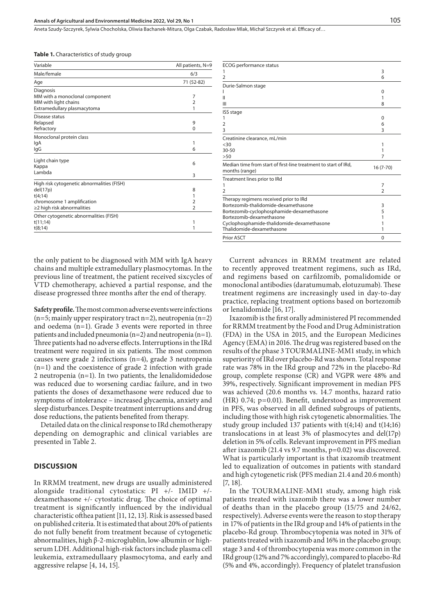Aneta Szudy-Szczyrek, Sylwia Chocholska, Oliwia Bachanek-Mitura, Olga Czabak, Radosław Mlak, Michał Szczyrek et al. Efficacy of…

|  |  | <b>Table 1.</b> Characteristics of study group |  |  |
|--|--|------------------------------------------------|--|--|
|--|--|------------------------------------------------|--|--|

| Variable                                                                                                                            | All patients, N=9             |
|-------------------------------------------------------------------------------------------------------------------------------------|-------------------------------|
| Male/female                                                                                                                         | 6/3                           |
| Age                                                                                                                                 | 71 (52-82)                    |
| Diagnosis<br>MM with a monoclonal component<br>MM with light chains<br>Extramedullary plasmacytoma                                  | 7<br>$\overline{2}$<br>1      |
| Disease status<br>Relapsed<br>Refractory                                                                                            | 9<br>$\Omega$                 |
| Monoclonal protein class<br>lgA<br>IgG                                                                                              | 1<br>6                        |
| Light chain type<br>Kappa<br>Lambda                                                                                                 | 6<br>3                        |
| High risk cytogenetic abnormalities (FISH)<br>del(17p)<br>t(4;14)<br>chromosome 1 amplification<br>$\geq$ 2 high risk abnormalities | 8<br>1<br>2<br>$\overline{2}$ |
| Other cytogenetic abnormalities (FISH)<br>t(11;14)<br>t(8;14)                                                                       | 1<br>1                        |

the only patient to be diagnosed with MM with IgA heavy chains and multiple extramedullary plasmocytomas. In the previous line of treatment, the patient received sixcycles of VTD chemotherapy, achieved a partial response, and the disease progressed three months after the end of therapy.

**Safety profile.** The most common adverse events were infections  $(n=5;$  mainly upper respiratory tract  $n=2$ ), neutropenia  $(n=2)$ and oedema (n=1). Grade 3 events were reported in three patients and included pneumonia (n=2) and neutropenia (n=1). Three patients had no adverse effects. Interruptions in the IRd treatment were required in six patients. The most common causes were grade 2 infections (n=4), grade 3 neutropenia (n=1) and the coexistence of grade 2 infection with grade 2 neutropenia  $(n=1)$ . In two patients, the lenalidomidedose was reduced due to worsening cardiac failure, and in two patients the doses of dexamethasone were reduced due to symptoms of intolerance – increased glycaemia, anxiety and sleep disturbances. Despite treatment interruptions and drug dose reductions, the patients benefited from therapy.

Detailed data on the clinical response to IRd chemotherapy depending on demographic and clinical variables are presented in Table 2.

#### **DISCUSSION**

In RRMM treatment, new drugs are usually administered alongside traditional cytostatics: PI +/- IMID +/ dexamethasone +/- cytostatic drug. The choice of optimal treatment is significantly influenced by the individual characteristic ofthea patient [11, 12, 13]. Risk is assessed based on published criteria. It is estimated that about 20% of patients do not fully benefit from treatment because of cytogenetic abnormalities, high β-2-microglublin, low-albumin or highserum LDH. Additional high-risk factors include plasma cell leukemia, extramedullaary plasmocytoma, and early and aggressive relapse [4, 14, 15].

| ECOG performance status                                                           |                |
|-----------------------------------------------------------------------------------|----------------|
|                                                                                   | 3              |
| 2                                                                                 | 6              |
| Durie-Salmon stage                                                                |                |
|                                                                                   | $\Omega$       |
| Ш                                                                                 | 1              |
| Ш                                                                                 | 8              |
| ISS stage                                                                         |                |
|                                                                                   | O              |
| $\overline{2}$                                                                    | 6              |
| 3                                                                                 | 3              |
| Creatinine clearance, mL/min                                                      |                |
| <30                                                                               | 1              |
| $30 - 50$                                                                         | 1              |
| >50                                                                               | 7              |
| Median time from start of first-line treatment to start of IRd,<br>months (range) | $16(7-70)$     |
| Treatment lines prior to IRd                                                      |                |
|                                                                                   | 7              |
| 2                                                                                 | $\overline{2}$ |
| Therapy regimens received prior to IRd                                            |                |
| Bortezomib-thalidomide-dexamethasone                                              | 3              |
| Bortezomib-cyclophosphamide-dexamethasone                                         | 5              |
| Bortezomib-dexamethasone                                                          |                |
| Cyclophosphamide-thalidomide-dexamethasone                                        |                |
| Thalidomide-dexamethasone                                                         | 1              |
| <b>Prior ASCT</b>                                                                 | $\Omega$       |

Current advances in RRMM treatment are related to recently approved treatment regimens, such as IRd, and regimens based on carfilzomib, pomalidomide or monoclonal antibodies (daratumumab, elotuzumab). These treatment regimens are increasingly used in day-to-day practice, replacing treatment options based on bortezomib or lenalidomide [16, 17].

Ixazomib is the first orally administered PI recommended for RRMM treatment by the Food and Drug Administration (FDA) in the USA in 2015, and the European Medicines Agency (EMA) in 2016. The drug was registered based on the results of the phase 3 TOURMALINE-MM1 study, in which superiority of IRd over placebo-Rd was shown. Total response rate was 78% in the IRd group and 72% in the placebo-Rd group, complete response (CR) and VGPR were 48% and 39%, respectively. Significant improvement in median PFS was achieved (20.6 months vs. 14.7 months, hazard ratio (HR) 0.74; p=0.01). Benefit, understood as improvement in PFS, was observed in all defined subgroups of patients, including those with high risk cytogenetic abnormalities. The study group included 137 patients with t(4;14) and t(14;16) translocations in at least 3% of plasmocytes and del(17p) deletion in 5% of cells. Relevant improvement in PFS median after ixazomib (21.4 vs 9.7 months, p=0.02) was discovered. What is particularly important is that ixazomib treatment led to equalization of outcomes in patients with standard and high cytogenetic risk (PFS median 21.4 and 20.6 month) [7, 18].

In the TOURMALINE-MM1 study, among high risk patients treated with ixazomib there was a lower number of deaths than in the placebo group (15/75 and 24/62, respectively). Adverse events were the reason to stop therapy in 17% of patients in the IRd group and 14% of patients in the placebo-Rd group. Thrombocytopenia was noted in 31% of patients treated with ixazomib and 16% in the placebo group; stage 3 and 4 of thrombocytopenia was more common in the IRd group (12% and 7% accordingly), compared to placebo-Rd (5% and 4%, accordingly). Frequency of platelet transfusion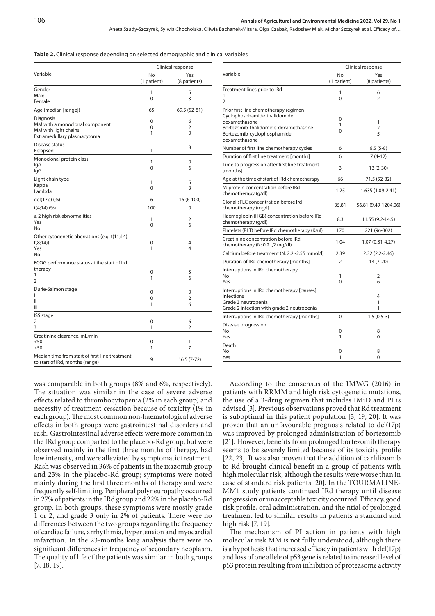Aneta Szudy-Szczyrek, Sylwia Chocholska, Oliwia Bachanek-Mitura, Olga Czabak, Radosław Mlak, Michał Szczyrek et al. Efficacy of…

|  |  |  |  |  |  |  | <b>Table 2.</b> Clinical response depending on selected demographic and clinical variables |  |  |  |  |  |
|--|--|--|--|--|--|--|--------------------------------------------------------------------------------------------|--|--|--|--|--|
|--|--|--|--|--|--|--|--------------------------------------------------------------------------------------------|--|--|--|--|--|

|                                                                                   | Clinical response |                |  |
|-----------------------------------------------------------------------------------|-------------------|----------------|--|
| Variable                                                                          | No                | Yes            |  |
|                                                                                   | (1 patient)       | (8 patients)   |  |
| Gender                                                                            | 1                 | 5              |  |
| Male                                                                              | 0                 | 3              |  |
| Female                                                                            |                   |                |  |
| Age (median [range])                                                              | 65                | 69.5 (52-81)   |  |
| Diagnosis                                                                         | 0                 | 6              |  |
| MM with a monoclonal component<br>MM with light chains                            | 0                 | $\overline{2}$ |  |
| Extramedullary plasmacytoma                                                       | 1                 | 0              |  |
| Disease status                                                                    |                   |                |  |
| Relapsed                                                                          | 1                 | 8              |  |
| Monoclonal protein class                                                          |                   |                |  |
| lgA                                                                               | 1                 | 0              |  |
| lgG                                                                               | 0                 | 6              |  |
| Light chain type                                                                  | 1                 | 5              |  |
| Kappa                                                                             | 0                 | 3              |  |
| Lambda                                                                            |                   |                |  |
| del(17p) (%)                                                                      | 6                 | 16 (6-100)     |  |
| t(4;14)(%                                                                         | 100               | 0              |  |
| $\geq$ 2 high risk abnormalities                                                  | 1                 | 2              |  |
| Yes                                                                               | 0                 | 6              |  |
| No                                                                                |                   |                |  |
| Other cytogenetic aberrations (e.g. t(11;14);<br>t(8;14)                          | 0                 | 4              |  |
| Yes                                                                               | 1                 | 4              |  |
| No                                                                                |                   |                |  |
| ECOG performance status at the start of Ird                                       |                   |                |  |
| therapy                                                                           | 0                 | 3              |  |
| 1                                                                                 | 1                 | 6              |  |
| $\overline{2}$                                                                    |                   |                |  |
| Durie-Salmon stage<br>ı                                                           | 0                 | 0              |  |
| Ш                                                                                 | $\Omega$          | $\overline{2}$ |  |
| Ш                                                                                 | 1                 | 6              |  |
| ISS stage                                                                         |                   |                |  |
| 2                                                                                 | 0                 | 6              |  |
| 3                                                                                 | 1                 | 2              |  |
| Creatinine clearance, mL/min                                                      |                   |                |  |
| $<$ 50                                                                            | 0                 | 1              |  |
| >50                                                                               | 1                 | 7              |  |
| Median time from start of first-line treatment<br>to start of IRd, months (range) | 9                 | $16.5(7-72)$   |  |

was comparable in both groups (8% and 6%, respectively). The situation was similar in the case of severe adverse effects related to thrombocytopenia (2% in each group) and necessity of treatment cessation because of toxicity (1% in each group). The most common non-haematological adverse effects in both groups were gastrointestinal disorders and rash. Gastrointestinal adverse effects were more common in the IRd group comparted to the placebo-Rd group, but were observed mainly in the first three months of therapy, had low intensity, and were alleviated by symptomatic treatment. Rash was observed in 36% of patients in the ixazomib group and 23% in the placebo-Rd group; symptoms were noted mainly during the first three months of therapy and were frequently self-limiting. Peripheral polyneuropathy occurred in 27% of patients in the IRd group and 22% in the placebo-Rd group. In both groups, these symptoms were mostly grade 1 or 2, and grade 3 only in 2% of patients. There were no differences between the two groups regarding the frequency of cardiac failure, arrhythmia, hypertension and myocardial infarction. In the 23-months long analysis there were no significant differences in frequency of secondary neoplasm. The quality of life of the patients was similar in both groups [7, 18, 19].

|                                                                                                                                                                                  | Clinical response |                      |  |  |
|----------------------------------------------------------------------------------------------------------------------------------------------------------------------------------|-------------------|----------------------|--|--|
| Variable                                                                                                                                                                         | No<br>(1 patient) | Yes<br>(8 patients)  |  |  |
| Treatment lines prior to IRd<br>1<br>2                                                                                                                                           | 1<br>$\Omega$     | 6<br>$\overline{2}$  |  |  |
| Prior first line chemotherapy regimen<br>Cyclophosphamide-thalidomide-<br>dexamethasone<br>Bortezomib-thalidomide-dexamethasone<br>Bortezomib-cyclophosphamide-<br>dexamethasone | 0<br>1<br>0       | 1<br>2<br>5          |  |  |
| Number of first line chemotherapy cycles                                                                                                                                         | 6                 | $6.5(5-8)$           |  |  |
| Duration of first line treatment [months]                                                                                                                                        | 6                 | $7(4-12)$            |  |  |
| Time to progression after first line treatment<br>[months]                                                                                                                       | 3                 | 13 (2-30)            |  |  |
| Age at the time of start of IRd chemotherapy                                                                                                                                     | 66                | 71.5 (52-82)         |  |  |
| M-protein concentration before IRd<br>chemotherapy (g/dl)                                                                                                                        | 1.25              | 1.635 (1.09-2.41)    |  |  |
| Clonal sFLC concentration before Ird<br>chemotherapy (mg/l)                                                                                                                      | 35.81             | 56.81 (9.49-1204.06) |  |  |
| Haemoglobin (HGB) concentration before IRd<br>chemotherapy (g/dl)                                                                                                                | 8.3               | 11.55 (9.2-14.5)     |  |  |
| Platelets (PLT) before IRd chemotherapy (K/ul)                                                                                                                                   | 170               | 221 (96-302)         |  |  |
| Creatinine concentration before IRd<br>chemotherapy (N: 0.2-.,2 mg/dl)                                                                                                           | 1.04              | 1.07 (0.81-4.27)     |  |  |
| Calcium before treatment (N: 2.2 -2.55 mmol/l)                                                                                                                                   | 2.39              | 2.32 (2.2-2.46)      |  |  |
| Duration of IRd chemotherapy [months]                                                                                                                                            | 2                 | 14 (7-20)            |  |  |
| Interruptions in IRd chemotherapy<br>No<br>Yes                                                                                                                                   | 1<br>$\Omega$     | 2<br>6               |  |  |
| Interruptions in IRd chemotherapy [causes]<br><b>Infections</b><br>Grade 3 neutropenia<br>Grade 2 infection with grade 2 neutropenia                                             |                   | 4<br>1<br>1          |  |  |
| Interruptions in IRd chemotherapy [months]                                                                                                                                       | $\Omega$          | $1.5(0.5-3)$         |  |  |
| Disease progression<br>No<br>Yes                                                                                                                                                 | 0<br>1            | 8<br>$\Omega$        |  |  |
| Death<br>No.<br>Yes                                                                                                                                                              | 0<br>1            | 8<br>0               |  |  |

According to the consensus of the IMWG (2016) in patients with RRMM and high risk cytogenetic mutations, the use of a 3-drug regimen that includes IMiD and PI is advised [3]. Previous observations proved that Rd treatment is suboptimal in this patient population [3, 19, 20]. It was proven that an unfavourable prognosis related to del(17p) was improved by prolonged administration of bortezomib [21]. However, benefits from prolonged bortezomib therapy seems to be severely limited because of its toxicity profile [22, 23]. It was also proven that the addition of carfilizomib to Rd brought clinical benefit in a group of patients with high molecular risk, although the results were worse than in case of standard risk patients [20]. In the TOURMALINE-MM1 study patients continued IRd therapy until disease progression or unacceptable toxicity occurred. Efficacy, good risk profile, oral administration, and the ntial of prolonged treatment led to similar results in patients a standard and high risk [7, 19].

The mechanism of PI action in patients with high molecular risk MM is not fully understood, although there is a hypothesis that increased efficacy in patients with del(17p) and loss of one allele of p53 gene is related to increased level of p53 protein resulting from inhibition of proteasome activity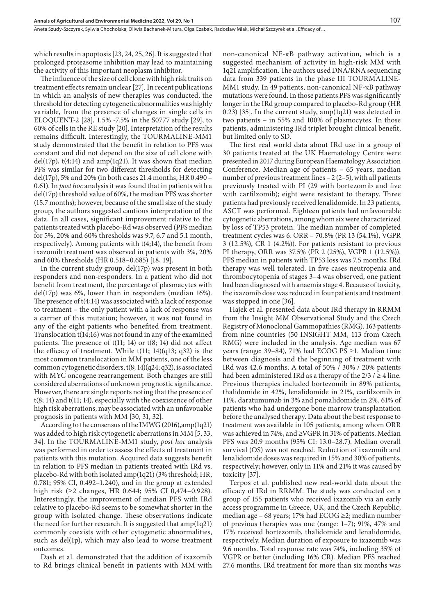which results in apoptosis [23, 24, 25, 26]. It is suggested that prolonged proteasome inhibition may lead to maintaining the activity of this important neoplasm inhibitor.

The influence of the size of cell clone with high risk traits on treatment effects remain unclear [27]. In recent publications in which an analysis of new therapies was conducted, the threshold for detecting cytogenetic abnormalities was highly variable, from the presence of changes in single cells in ELOQUENT-2 [28], 1.5% -7.5% in the S0777 study [29], to 60% of cells in the RE study [20]. Interpretation of the results remains difficult. Interestingly, the TOURMALINE-MM1 study demonstrated that the benefit in relation to PFS was constant and did not depend on the size of cell clone with del(17p),  $t(4;14)$  and amp(1q21). It was shown that median PFS was similar for two different thresholds for detecting del(17p), 5% and 20% (in both cases 21.4 months, HR 0.490 – 0.61). In *post hoc* analysis it was found that in patients with a del(17p) threshold value of 60%, the median PFS was shorter (15.7 months); however, because of the small size of the study group, the authors suggested cautious interpretation of the data. In all cases, significant improvement relative to the patients treated with placebo-Rd was observed (PFS median for 5%, 20% and 60% thresholds was 9.7, 6.7 and 5.1 month, respectively). Among patients with t(4;14), the benefit from ixazomib treatment was observed in patients with 3%, 20% and 60% thresholds (HR 0.518–0.685) [18, 19].

In the current study group, del(17p) was present in both responders and non-responders. In a patient who did not benefit from treatment, the percentage of plasmacytes with del(17p) was 6%, lower than in responders (median 16%). The presence of t(4;14) was associated with a lack of response to treatment – the only patient with a lack of response was a carrier of this mutation; however, it was not found in any of the eight patients who benefited from treatment. Translocation t(14;16) was not found in any of the examined patients. The presence of t(11; 14) or t(8; 14) did not affect the efficacy of treatment. While  $t(11; 14)(q13; q32)$  is the most common translocation in MM patients, one of the less common cytogenetic disorders, t(8; 14)(q24; q32), is associated with MYC oncogene rearrangement. Both changes are still considered aberrations of unknown prognostic significance. However, there are single reports noting that the presence of t(8; 14) and t(11; 14), especially with the coexistence of other high risk aberrations, may be associated with an unfavouable prognosis in patients with MM [30, 31, 32].

According to the consensus of the IMWG (2016),amp(1q21) was added to high risk cytogenetic aberrations in MM [5, 33, 34]. In the TOURMALINE-MM1 study, *post hoc* analysis was performed in order to assess the effects of treatment in patients with this mutation. Acquired data suggests benefit in relation to PFS median in patients treated with IRd vs. placebo-Rd with both isolated amp(1q21) (3% threshold; HR, 0.781; 95% CI, 0.492–1.240), and in the group at extended high risk (≥2 changes, HR 0.644; 95% CI 0,474–0.928). Interestingly, the improvement of median PFS with IRd relative to placebo-Rd seems to be somewhat shorter in the group with isolated change. These observations indicate the need for further research. It is suggested that amp(1q21) commonly coexists with other cytogenetic abnormalities, such as del(1p), which may also lead to worse treatment outcomes.

Dash et al. demonstrated that the addition of ixazomib to Rd brings clinical benefit in patients with MM with non-canonical NF-κB pathway activation, which is a suggested mechanism of activity in high-risk MM with 1q21 amplification. The authors used DNA/RNA sequencing data from 339 patients in the phase III TOURMALINE-MM1 study. In 49 patients, non-canonical NF-κB pathway mutations were found. In those patients PFS was significantly longer in the IRd group compared to placebo-Rd group (HR 0.23) [35]. In the current study, amp(1q21) was detected in two patients – in 55% and 100% of plasmocytes. In those patients, administering IRd triplet brought clinical benefit, but limited only to SD.

The first real world data about IRd use in a group of 30 patients treated at the UK Haematology Centre were presented in 2017 during European Haematology Association Conference. Median age of patients – 65 years, median number of previous treatment lines – 2 (2–5), with all patients previously treated with PI (29 with bortezomib and five with carfilzomib); eight were resistant to therapy. Three patients had previously received lenalidomide. In 23 patients, ASCT was performed. Eighteen patients had unfavourable cytogenetic aberrations, among whom six were characterized by loss of TP53 protein. The median number of completed treatment cycles was 6. ORR – 70.8% (PR 13 (54.1%), VGPR 3 (12.5%), CR 1 (4.2%)). For patients resistant to previous PI therapy, ORR was 37.5% (PR 2 (25%), VGPR 1 (12.5%)). PFS median in patients with TP53 loss was 7.5 months. IRd therapy was well tolerated. In five cases neutropenia and thrombocytopenia of stages 3–4 was observed, one patient had been diagnosed with anaemia stage 4. Because of toxicity, the ixazomib dose was reduced in four patients and treatment was stopped in one [36].

Hajek et al. presented data about IRd therapy in RRMM from the Insight MM Observational Study and the Czech Registry of Monoclonal Gammopathies (RMG). 163 patients from nine countries (50 INSIGHT MM, 113 from Czech RMG) were included in the analysis. Age median was 67 years (range: 39–84), 71% had ECOG PS ≥1. Median time between diagnosis and the beginning of treatment with IRd was 42.6 months. A total of 50% / 30% / 20% patients had been administered IRd as a therapy of the  $2/3 / \ge 4$  line. Previous therapies included bortezomib in 89% patients, thalidomide in 42%, lenalidomide in 21%, carfilzomib in 11%, daratumumab in 3% and pomalidomide in 2%. 61% of patients who had undergone bone marrow transplantation before the analysed therapy. Data about the best response to treatment was available in 105 patients, among whom ORR was achieved in 74%, and ≥VGPR in 31% of patients. Median PFS was 20.9 months (95% CI: 13.0–28.7). Median overall survival (OS) was not reached. Reduction of ixazomib and lenalidomide doses was required in 15% and 30% of patients, respectively; however, only in 11% and 21% it was caused by toxicity [37].

Terpos et al. published new real-world data about the efficacy of IRd in RRMM. The study was conducted on a group of 155 patients who received ixazomib via an early access programme in Greece, UK, and the Czech Republic; median age – 68 years; 17% had ECOG ≥2; median number of previous therapies was one (range: 1–7); 91%, 47% and 17% received bortezomib, thalidomide and lenalidomide, respectively. Median duration of exposure to ixazomib was 9.6 months. Total response rate was 74%, including 35% of VGPR or better (including 16% CR). Median PFS reached 27.6 months. IRd treatment for more than six months was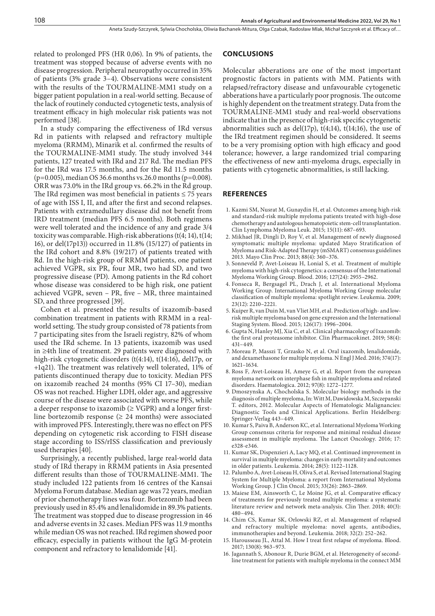related to prolonged PFS (HR 0,06). In 9% of patients, the treatment was stopped because of adverse events with no disease progression. Peripheral neuropathy occurred in 35% of patients (3% grade 3–4). Observations were consistent with the results of the TOURMALINE-MM1 study on a bigger patient population in a real-world setting. Because of the lack of routinely conducted cytogenetic tests, analysis of treatment efficacy in high molecular risk patients was not performed [38].

In a study comparing the effectiveness of IRd versus Rd in patients with relapsed and refractory multiple myeloma (RRMM), Minarik et al. confirmed the results of the TOURMALINE-MM1 study. The study involved 344 patients, 127 treated with IRd and 217 Rd. The median PFS for the IRd was 17.5 months, and for the Rd 11.5 months (p=0.005), median OS 36.6 months vs.26.0 months (p=0.008). ORR was 73.0% in the IRd group vs. 66.2% in the Rd group. The IRd regimen was most beneficial in patients  $\leq$  75 years of age with ISS I, II, and after the first and second relapses. Patients with extramedullary disease did not benefit from IRD treatment (median PFS 6.5 months). Both regimens were well tolerated and the incidence of any and grade 3/4 toxicity was comparable. High-risk abberations (t(4; 14), t(14; 16), or del(17p13)) occurred in 11.8% (15/127) of patients in the IRd cohort and 8.8% (19/217) of patients treated with Rd. In the high-risk group of RRMM patients, one patient achieved VGPR, six PR, four MR, two had SD, and two progressive disease (PD). Among patients in the Rd cohort whose disease was considered to be high risk, one patient achieved VGPR, seven – PR, five – MR, three maintained SD, and three progressed [39].

Cohen et al. presented the results of ixazomib-based combination treatment in patients with RRMM in a realworld setting. The study group consisted of 78 patients from 7 participating sites from the Israeli registry, 82% of whom used the IRd scheme. In 13 patients, ixazomib was used in ≥4th line of treatment. 29 patients were diagnosed with high-risk cytogenetic disorders (t(4:14), t(14:16), del17p, or +1q21). The treatment was relatively well tolerated, 11% of patients discontinued therapy due to toxicity. Median PFS on ixazomib reached 24 months (95% CI 17–30), median OS was not reached. Higher LDH, older age, and aggressive course of the disease were associated with worse PFS, while a deeper response to ixazomib ( $\geq$  VGPR) and a longer firstline bortezomib response  $(≥ 24$  months) were associated with improved PFS. Interestingly, there was no effect on PFS depending on cytogenetic risk according to FISH disease stage according to ISS/rISS classification and previously used therapies [40].

Surprisingly, a recently published, large real-world data study of IRd therapy in RRMM patients in Asia presented different results than those of TOURMALINE-MM1. The study included 122 patients from 16 centres of the Kansai Myeloma Forum database. Median age was 72 years, median of prior chemotherapy lines was four. Bortezomib had been previously used in 85.4% and lenalidomide in 89.3% patients. The treatment was stopped due to disease progression in 46 and adverse events in 32 cases. Median PFS was 11.9 months while median OS was not reached. IRd regimen showed poor efficacy, especially in patients without the IgG M-protein component and refractory to lenalidomide [41].

#### **CONCLUSIONS**

Molecular abberations are one of the most important prognostic factors in patients with MM. Patients with relapsed/refractory disease and unfavourable cytogenetic abberations have a particularly poor prognosis. The outcome is highly dependent on the treatment strategy. Data from the TOURMALINE-MM1 study and real-world observations indicate that in the presence of high-risk specific cytogenetic abnormalities such as del(17p),  $t(4;14)$ ,  $t(14;16)$ , the use of the IRd treatment regimen should be considered. It seems to be a very promising option with high efficacy and good tolerance; however, a large randomized trial comparing the effectiveness of new anti-myeloma drugs, especially in patients with cytogenetic abnormalities, is still lacking.

#### **REFERENCES**

- 1. Kazmi SM, Nusrat M, Gunaydin H, et al. Outcomes among high-risk and standard-risk multiple myeloma patients treated with high-dose chemotherapy and autologous hematopoietic stem-cell transplantation. Clin Lymphoma Myeloma Leuk. 2015; 15(11): 687–693.
- 2. Mikhael JR, Dingli D, Roy V, et al. Management of newly diagnosed symptomatic multiple myeloma: updated Mayo Stratification of Myeloma and Risk-Adapted Therapy (mSMART) consensus guidelines 2013. Mayo Clin Proc. 2013; 88(4): 360–376.
- 3. Sonneveld P, Avet-Loiseau H, Lonial S, et al. Treatment of multiple myeloma with high-risk cytogenetics: a consensus of the International Myeloma Working Group. Blood. 2016; 127(24): 2955–2962.
- 4. Fonseca R, Bergsagel PL, Drach J, et al. International Myeloma Working Group. International Myeloma Working Group molecular classification of multiple myeloma: spotlight review. Leukemia. 2009; 23(12): 2210–2221.
- 5. Kuiper R, van Duin M, van Vliet MH, et al. Prediction of high- and lowrisk multiple myeloma based on gene expression and the International Staging System. Blood. 2015; 126(17): 1996–2004.
- 6. Gupta N, Hanley MJ, Xia C, et al. Clinical pharmacology of Ixazomib: the first oral proteasome inhibitor. Clin Pharmacokinet. 2019; 58(4): 431–449.
- 7. Moreau P, Masszi T, Grzasko N, et al. Oral ixazomib, lenalidomide, and dexamethasone for multiple myeloma. N Engl J Med. 2016; 374(17): 1621–1634.
- 8. Ross F, Avet-Loiseau H, Ameye G, et al. Report from the european myeloma network on interphase fish in multiple myeloma and related disorders. Haematologica. 2012; 97(8): 1272–1277.
- 9. Dmoszynska A, Chocholska S. Molecular biology methods in the diagnosis of multiple myeloma, In: Witt M, Dawidowska M, Szczepanski T. editors, 2012. Molecular Aspects of Hematologic Malignancies: Diagnostic Tools and Clinical Applications. Berlin Heidelberg: Springer-Verlag 443–449.
- 10. Kumar S, Paiva B, Anderson KC, et al. International Myeloma Working Group consensus criteria for response and minimal residual disease assessment in multiple myeloma. The Lancet Oncology. 2016; 17: e328-e346.
- 11. Kumar SK, Dispenzieri A, Lacy MQ, et al. Continued improvement in survival in multiple myeloma: changes in early mortality and outcomes in older patients. Leukemia. 2014; 28(5): 1122–1128.
- 12. Palumbo A, Avet-Loiseau H, Oliva S, et al. Revised International Staging System for Multiple Myeloma: a report from International Myeloma Working Group. J Clin Oncol. 2015; 33(26): 2863–2869.
- 13. Maiese EM, Ainsworth C, Le Moine JG, et al. Comparative efficacy of treatments for previously treated multiple myeloma: a systematic literature review and network meta-analysis. Clin Ther. 2018; 40(3): 480–494.
- 14. Chim CS, Kumar SK, Orlowski RZ, et al. Management of relapsed and refractory multiple myeloma: novel agents, antibodies, immunotherapies and beyond. Leukemia. 2018; 32(2): 252–262.
- 15. Harousseau JL, Attal M. How I treat first relapse of myeloma. Blood. 2017; 130(8): 963–973.
- 16. Jagannath S, Abonour R, Durie BGM, et al. Heterogeneity of secondline treatment for patients with multiple myeloma in the connect MM